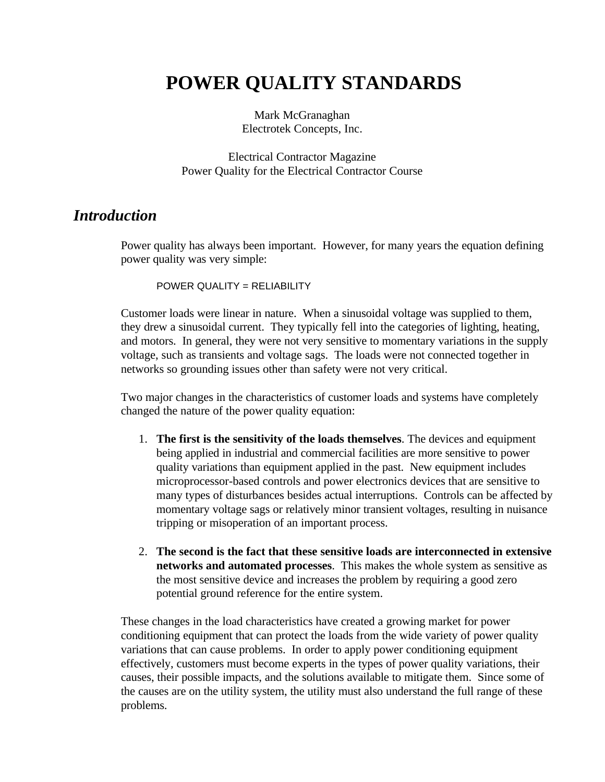# **POWER QUALITY STANDARDS**

Mark McGranaghan Electrotek Concepts, Inc.

Electrical Contractor Magazine Power Quality for the Electrical Contractor Course

### *Introduction*

Power quality has always been important. However, for many years the equation defining power quality was very simple:

POWER QUALITY = RELIABILITY

Customer loads were linear in nature. When a sinusoidal voltage was supplied to them, they drew a sinusoidal current. They typically fell into the categories of lighting, heating, and motors. In general, they were not very sensitive to momentary variations in the supply voltage, such as transients and voltage sags. The loads were not connected together in networks so grounding issues other than safety were not very critical.

Two major changes in the characteristics of customer loads and systems have completely changed the nature of the power quality equation:

- 1. **The first is the sensitivity of the loads themselves**. The devices and equipment being applied in industrial and commercial facilities are more sensitive to power quality variations than equipment applied in the past. New equipment includes microprocessor-based controls and power electronics devices that are sensitive to many types of disturbances besides actual interruptions. Controls can be affected by momentary voltage sags or relatively minor transient voltages, resulting in nuisance tripping or misoperation of an important process.
- 2. **The second is the fact that these sensitive loads are interconnected in extensive networks and automated processes**. This makes the whole system as sensitive as the most sensitive device and increases the problem by requiring a good zero potential ground reference for the entire system.

These changes in the load characteristics have created a growing market for power conditioning equipment that can protect the loads from the wide variety of power quality variations that can cause problems. In order to apply power conditioning equipment effectively, customers must become experts in the types of power quality variations, their causes, their possible impacts, and the solutions available to mitigate them. Since some of the causes are on the utility system, the utility must also understand the full range of these problems.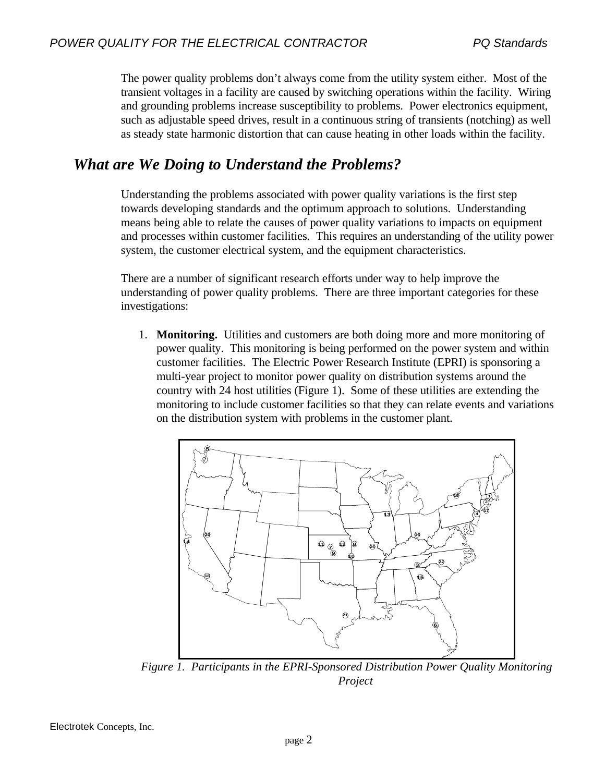The power quality problems don't always come from the utility system either. Most of the transient voltages in a facility are caused by switching operations within the facility. Wiring and grounding problems increase susceptibility to problems. Power electronics equipment, such as adjustable speed drives, result in a continuous string of transients (notching) as well as steady state harmonic distortion that can cause heating in other loads within the facility.

# *What are We Doing to Understand the Problems?*

Understanding the problems associated with power quality variations is the first step towards developing standards and the optimum approach to solutions. Understanding means being able to relate the causes of power quality variations to impacts on equipment and processes within customer facilities. This requires an understanding of the utility power system, the customer electrical system, and the equipment characteristics.

There are a number of significant research efforts under way to help improve the understanding of power quality problems. There are three important categories for these investigations:

1. **Monitoring.** Utilities and customers are both doing more and more monitoring of power quality. This monitoring is being performed on the power system and within customer facilities. The Electric Power Research Institute (EPRI) is sponsoring a multi-year project to monitor power quality on distribution systems around the country with 24 host utilities (Figure 1). Some of these utilities are extending the monitoring to include customer facilities so that they can relate events and variations on the distribution system with problems in the customer plant.



*Figure 1. Participants in the EPRI-Sponsored Distribution Power Quality Monitoring Project*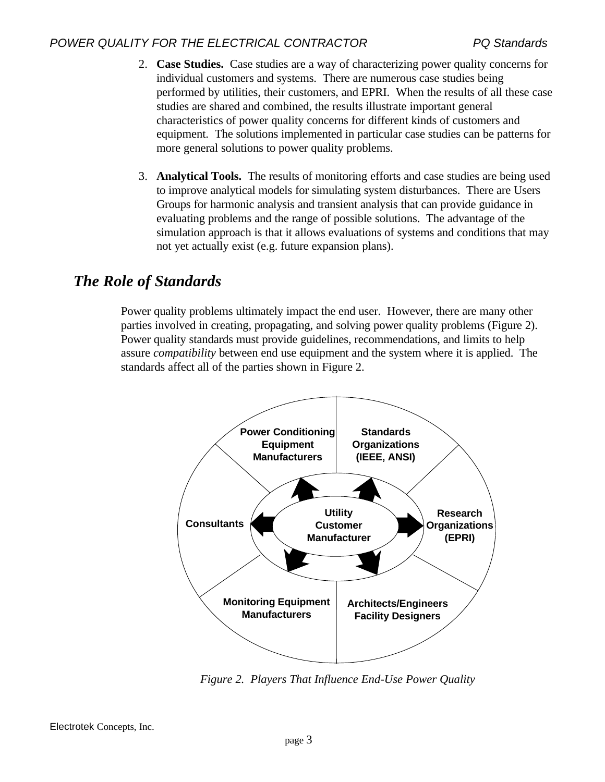- 2. **Case Studies.** Case studies are a way of characterizing power quality concerns for individual customers and systems. There are numerous case studies being performed by utilities, their customers, and EPRI. When the results of all these case studies are shared and combined, the results illustrate important general characteristics of power quality concerns for different kinds of customers and equipment. The solutions implemented in particular case studies can be patterns for more general solutions to power quality problems.
- 3. **Analytical Tools.** The results of monitoring efforts and case studies are being used to improve analytical models for simulating system disturbances. There are Users Groups for harmonic analysis and transient analysis that can provide guidance in evaluating problems and the range of possible solutions. The advantage of the simulation approach is that it allows evaluations of systems and conditions that may not yet actually exist (e.g. future expansion plans).

# *The Role of Standards*

Power quality problems ultimately impact the end user. However, there are many other parties involved in creating, propagating, and solving power quality problems (Figure 2). Power quality standards must provide guidelines, recommendations, and limits to help assure *compatibility* between end use equipment and the system where it is applied. The standards affect all of the parties shown in Figure 2.



*Figure 2. Players That Influence End-Use Power Quality*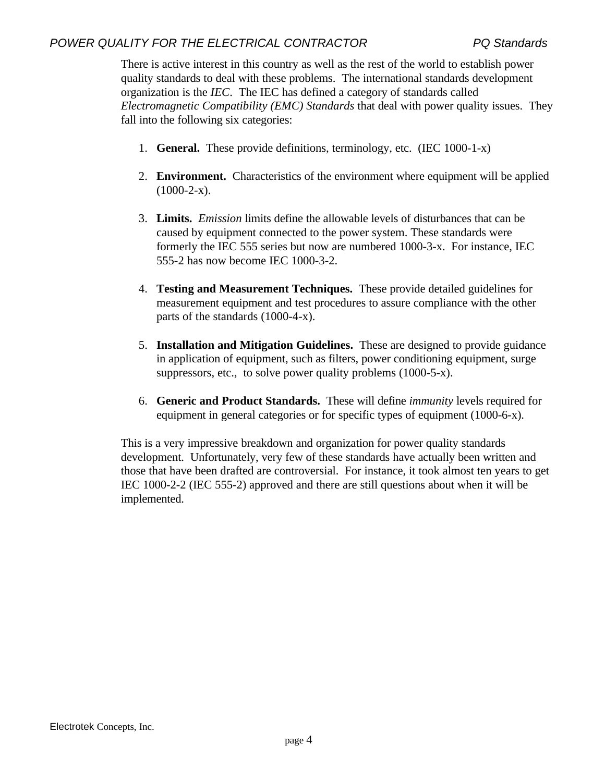There is active interest in this country as well as the rest of the world to establish power quality standards to deal with these problems. The international standards development organization is the *IEC*. The IEC has defined a category of standards called *Electromagnetic Compatibility (EMC) Standards* that deal with power quality issues. They fall into the following six categories:

- 1. **General.** These provide definitions, terminology, etc. (IEC 1000-1-x)
- 2. **Environment.** Characteristics of the environment where equipment will be applied  $(1000-2-x).$
- 3. **Limits.** *Emission* limits define the allowable levels of disturbances that can be caused by equipment connected to the power system. These standards were formerly the IEC 555 series but now are numbered 1000-3-x. For instance, IEC 555-2 has now become IEC 1000-3-2.
- 4. **Testing and Measurement Techniques.** These provide detailed guidelines for measurement equipment and test procedures to assure compliance with the other parts of the standards (1000-4-x).
- 5. **Installation and Mitigation Guidelines.** These are designed to provide guidance in application of equipment, such as filters, power conditioning equipment, surge suppressors, etc., to solve power quality problems (1000-5-x).
- 6. **Generic and Product Standards.** These will define *immunity* levels required for equipment in general categories or for specific types of equipment (1000-6-x).

This is a very impressive breakdown and organization for power quality standards development. Unfortunately, very few of these standards have actually been written and those that have been drafted are controversial. For instance, it took almost ten years to get IEC 1000-2-2 (IEC 555-2) approved and there are still questions about when it will be implemented.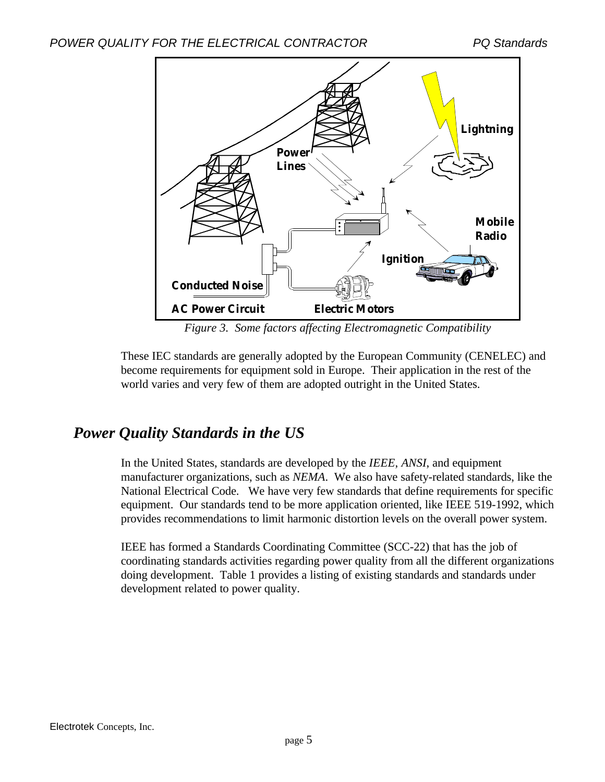

*Figure 3. Some factors affecting Electromagnetic Compatibility*

These IEC standards are generally adopted by the European Community (CENELEC) and become requirements for equipment sold in Europe. Their application in the rest of the world varies and very few of them are adopted outright in the United States.

# *Power Quality Standards in the US*

In the United States, standards are developed by the *IEEE*, *ANSI*, and equipment manufacturer organizations, such as *NEMA*. We also have safety-related standards, like the National Electrical Code. We have very few standards that define requirements for specific equipment. Our standards tend to be more application oriented, like IEEE 519-1992, which provides recommendations to limit harmonic distortion levels on the overall power system.

IEEE has formed a Standards Coordinating Committee (SCC-22) that has the job of coordinating standards activities regarding power quality from all the different organizations doing development. Table 1 provides a listing of existing standards and standards under development related to power quality.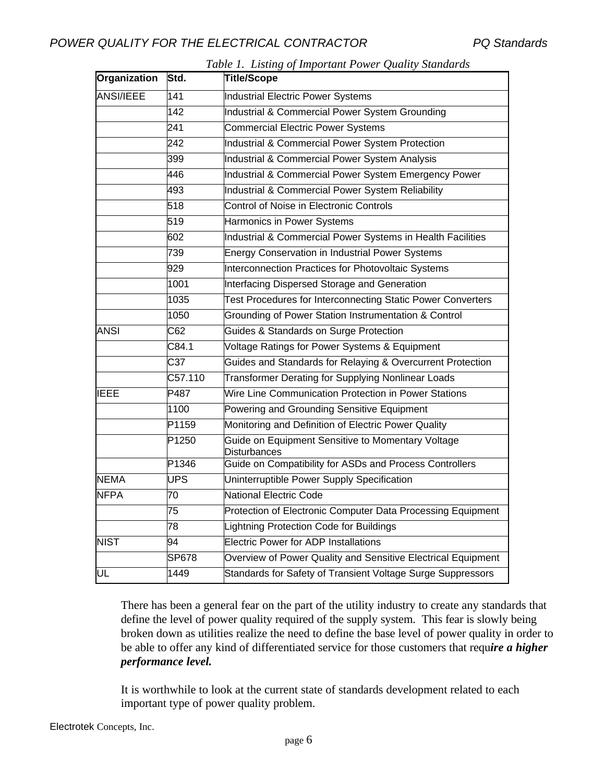| Organization     | Std.                    | гале 1. Евних ој тронат 1 омет Quanty знашназ<br><b>Title/Scope</b> |
|------------------|-------------------------|---------------------------------------------------------------------|
| <b>ANSI/IEEE</b> | 141                     | Industrial Electric Power Systems                                   |
|                  | 142                     | Industrial & Commercial Power System Grounding                      |
|                  | 241                     | <b>Commercial Electric Power Systems</b>                            |
|                  | 242                     | Industrial & Commercial Power System Protection                     |
|                  | 399                     | Industrial & Commercial Power System Analysis                       |
|                  | 446                     | Industrial & Commercial Power System Emergency Power                |
|                  | 493                     | Industrial & Commercial Power System Reliability                    |
|                  | 518                     | Control of Noise in Electronic Controls                             |
|                  | 519                     | Harmonics in Power Systems                                          |
|                  | 602                     | Industrial & Commercial Power Systems in Health Facilities          |
|                  | 739                     | <b>Energy Conservation in Industrial Power Systems</b>              |
|                  | 929                     | Interconnection Practices for Photovoltaic Systems                  |
|                  | 1001                    | Interfacing Dispersed Storage and Generation                        |
|                  | 1035                    | Test Procedures for Interconnecting Static Power Converters         |
|                  | 1050                    | Grounding of Power Station Instrumentation & Control                |
| <b>ANSI</b>      | C62                     | Guides & Standards on Surge Protection                              |
|                  | C84.1                   | Voltage Ratings for Power Systems & Equipment                       |
|                  | $\overline{\text{C37}}$ | Guides and Standards for Relaying & Overcurrent Protection          |
|                  | C57.110                 | Transformer Derating for Supplying Nonlinear Loads                  |
| <b>IEEE</b>      | P487                    | Wire Line Communication Protection in Power Stations                |
|                  | 1100                    | Powering and Grounding Sensitive Equipment                          |
|                  | P1159                   | Monitoring and Definition of Electric Power Quality                 |
|                  | P1250                   | Guide on Equipment Sensitive to Momentary Voltage<br>Disturbances   |
|                  | P1346                   | Guide on Compatibility for ASDs and Process Controllers             |
| <b>NEMA</b>      | <b>UPS</b>              | Uninterruptible Power Supply Specification                          |
| <b>NFPA</b>      | 70                      | <b>National Electric Code</b>                                       |
|                  | 75                      | Protection of Electronic Computer Data Processing Equipment         |
|                  | 78                      | Lightning Protection Code for Buildings                             |
| <b>NIST</b>      | 94                      | <b>Electric Power for ADP Installations</b>                         |
|                  | SP678                   | Overview of Power Quality and Sensitive Electrical Equipment        |
| UL               | 1449                    | Standards for Safety of Transient Voltage Surge Suppressors         |

*Table 1. Listing of Important Power Quality Standards*

There has been a general fear on the part of the utility industry to create any standards that define the level of power quality required of the supply system. This fear is slowly being broken down as utilities realize the need to define the base level of power quality in order to be able to offer any kind of differentiated service for those customers that requ*ire a higher performance level.*

It is worthwhile to look at the current state of standards development related to each important type of power quality problem.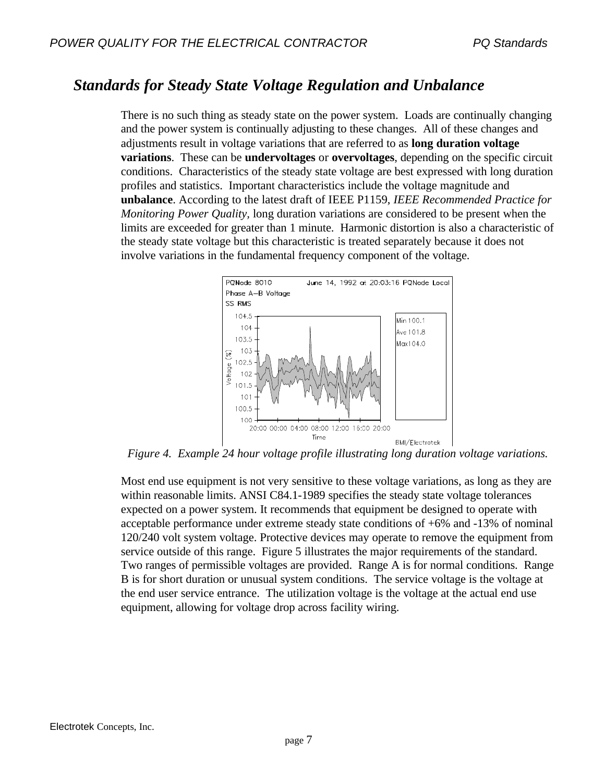# *Standards for Steady State Voltage Regulation and Unbalance*

There is no such thing as steady state on the power system. Loads are continually changing and the power system is continually adjusting to these changes. All of these changes and adjustments result in voltage variations that are referred to as **long duration voltage variations**. These can be **undervoltages** or **overvoltages**, depending on the specific circuit conditions. Characteristics of the steady state voltage are best expressed with long duration profiles and statistics. Important characteristics include the voltage magnitude and **unbalance**. According to the latest draft of IEEE P1159, *IEEE Recommended Practice for Monitoring Power Quality,* long duration variations are considered to be present when the limits are exceeded for greater than 1 minute. Harmonic distortion is also a characteristic of the steady state voltage but this characteristic is treated separately because it does not involve variations in the fundamental frequency component of the voltage.



*Figure 4. Example 24 hour voltage profile illustrating long duration voltage variations.*

Most end use equipment is not very sensitive to these voltage variations, as long as they are within reasonable limits. ANSI C84.1-1989 specifies the steady state voltage tolerances expected on a power system. It recommends that equipment be designed to operate with acceptable performance under extreme steady state conditions of +6% and -13% of nominal 120/240 volt system voltage. Protective devices may operate to remove the equipment from service outside of this range. Figure 5 illustrates the major requirements of the standard. Two ranges of permissible voltages are provided. Range A is for normal conditions. Range B is for short duration or unusual system conditions. The service voltage is the voltage at the end user service entrance. The utilization voltage is the voltage at the actual end use equipment, allowing for voltage drop across facility wiring.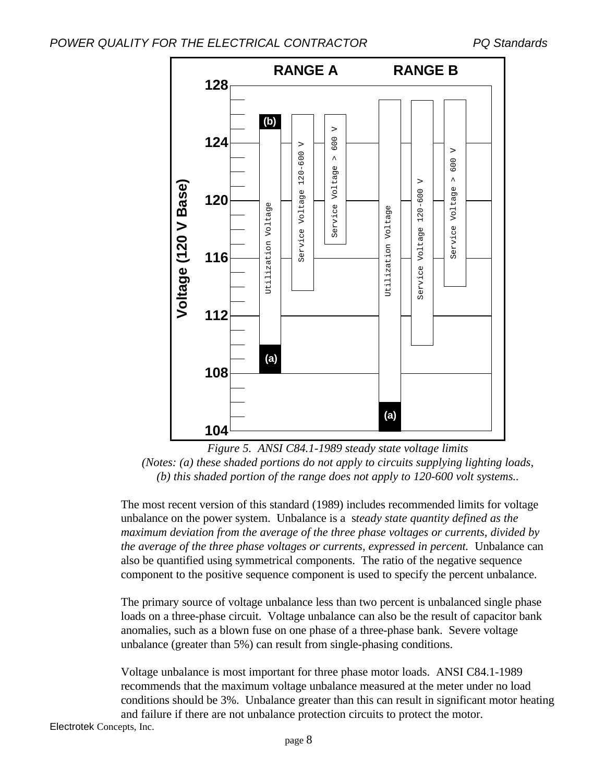

*Figure 5. ANSI C84.1-1989 steady state voltage limits (Notes: (a) these shaded portions do not apply to circuits supplying lighting loads, (b) this shaded portion of the range does not apply to 120-600 volt systems..*

The most recent version of this standard (1989) includes recommended limits for voltage unbalance on the power system. Unbalance is a s*teady state quantity defined as the maximum deviation from the average of the three phase voltages or currents, divided by the average of the three phase voltages or currents, expressed in percent.* Unbalance can also be quantified using symmetrical components. The ratio of the negative sequence component to the positive sequence component is used to specify the percent unbalance.

The primary source of voltage unbalance less than two percent is unbalanced single phase loads on a three-phase circuit. Voltage unbalance can also be the result of capacitor bank anomalies, such as a blown fuse on one phase of a three-phase bank. Severe voltage unbalance (greater than 5%) can result from single-phasing conditions.

Voltage unbalance is most important for three phase motor loads. ANSI C84.1-1989 recommends that the maximum voltage unbalance measured at the meter under no load conditions should be 3%. Unbalance greater than this can result in significant motor heating and failure if there are not unbalance protection circuits to protect the motor.

Electrotek Concepts, Inc.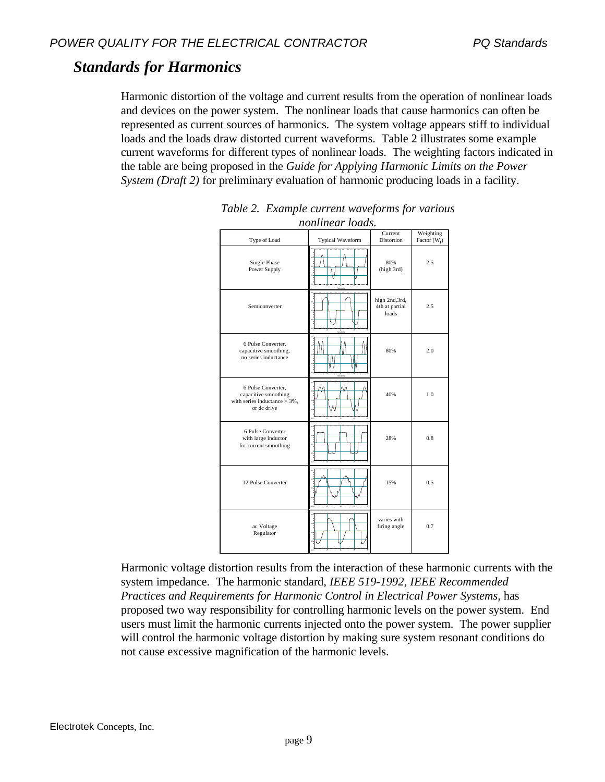# *Standards for Harmonics*

Harmonic distortion of the voltage and current results from the operation of nonlinear loads and devices on the power system. The nonlinear loads that cause harmonics can often be represented as current sources of harmonics. The system voltage appears stiff to individual loads and the loads draw distorted current waveforms. Table 2 illustrates some example current waveforms for different types of nonlinear loads. The weighting factors indicated in the table are being proposed in the *Guide for Applying Harmonic Limits on the Power System (Draft 2)* for preliminary evaluation of harmonic producing loads in a facility.





Harmonic voltage distortion results from the interaction of these harmonic currents with the system impedance. The harmonic standard, *IEEE 519-1992, IEEE Recommended Practices and Requirements for Harmonic Control in Electrical Power Systems, has* proposed two way responsibility for controlling harmonic levels on the power system. End users must limit the harmonic currents injected onto the power system. The power supplier will control the harmonic voltage distortion by making sure system resonant conditions do not cause excessive magnification of the harmonic levels.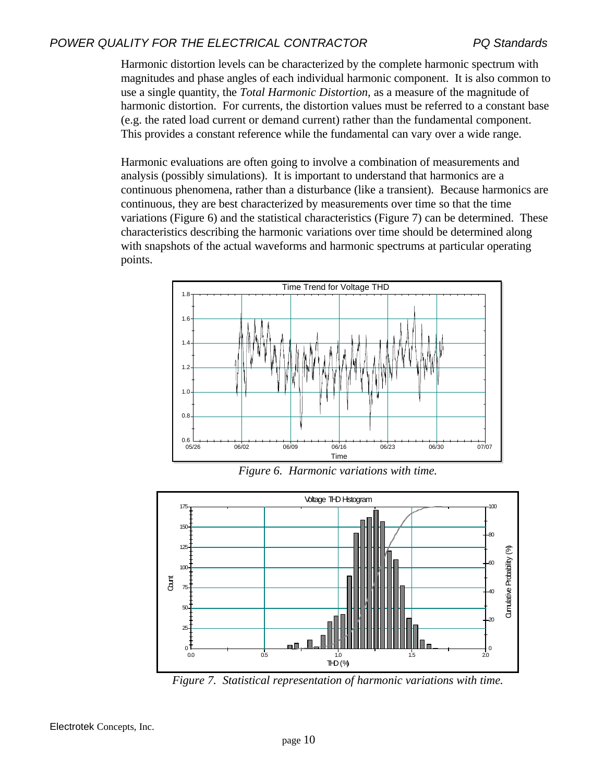Harmonic distortion levels can be characterized by the complete harmonic spectrum with magnitudes and phase angles of each individual harmonic component. It is also common to use a single quantity, the *Total Harmonic Distortion,* as a measure of the magnitude of harmonic distortion. For currents, the distortion values must be referred to a constant base (e.g. the rated load current or demand current) rather than the fundamental component. This provides a constant reference while the fundamental can vary over a wide range.

Harmonic evaluations are often going to involve a combination of measurements and analysis (possibly simulations). It is important to understand that harmonics are a continuous phenomena, rather than a disturbance (like a transient). Because harmonics are continuous, they are best characterized by measurements over time so that the time variations (Figure 6) and the statistical characteristics (Figure 7) can be determined. These characteristics describing the harmonic variations over time should be determined along with snapshots of the actual waveforms and harmonic spectrums at particular operating points.



*Figure 6. Harmonic variations with time.*



*Figure 7. Statistical representation of harmonic variations with time.*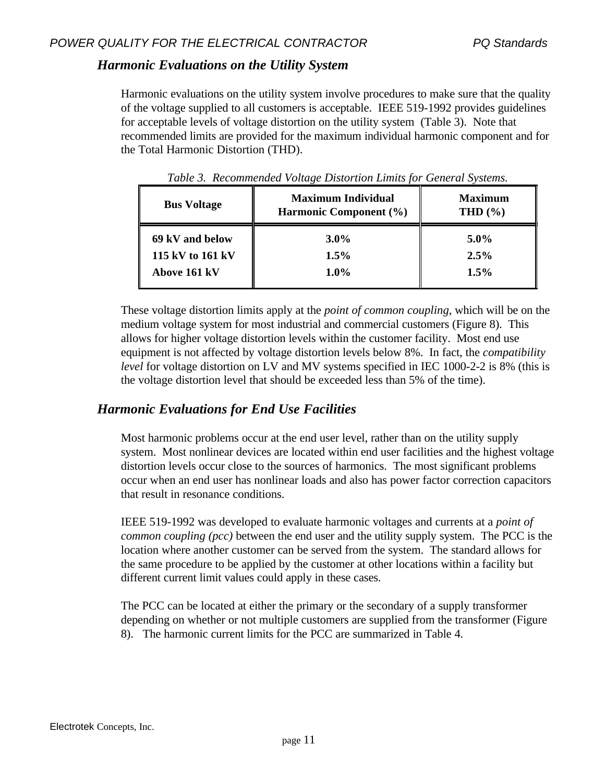### *Harmonic Evaluations on the Utility System*

Harmonic evaluations on the utility system involve procedures to make sure that the quality of the voltage supplied to all customers is acceptable. IEEE 519-1992 provides guidelines for acceptable levels of voltage distortion on the utility system (Table 3). Note that recommended limits are provided for the maximum individual harmonic component and for the Total Harmonic Distortion (THD).

| <b>Bus Voltage</b> | <b>Maximum Individual</b><br>Harmonic Component (%) | <b>Maximum</b><br>THD $(\% )$ |  |
|--------------------|-----------------------------------------------------|-------------------------------|--|
| 69 kV and below    | $3.0\%$                                             | $5.0\%$                       |  |
| 115 kV to 161 kV   | $1.5\%$                                             | 2.5%                          |  |
| Above 161 kV       | $1.0\%$                                             | 1.5%                          |  |

*Table 3. Recommended Voltage Distortion Limits for General Systems.*

These voltage distortion limits apply at the *point of common coupling*, which will be on the medium voltage system for most industrial and commercial customers (Figure 8). This allows for higher voltage distortion levels within the customer facility. Most end use equipment is not affected by voltage distortion levels below 8%. In fact, the *compatibility level* for voltage distortion on LV and MV systems specified in IEC 1000-2-2 is 8% (this is the voltage distortion level that should be exceeded less than 5% of the time).

### *Harmonic Evaluations for End Use Facilities*

Most harmonic problems occur at the end user level, rather than on the utility supply system. Most nonlinear devices are located within end user facilities and the highest voltage distortion levels occur close to the sources of harmonics. The most significant problems occur when an end user has nonlinear loads and also has power factor correction capacitors that result in resonance conditions.

IEEE 519-1992 was developed to evaluate harmonic voltages and currents at a *point of common coupling (pcc)* between the end user and the utility supply system. The PCC is the location where another customer can be served from the system. The standard allows for the same procedure to be applied by the customer at other locations within a facility but different current limit values could apply in these cases.

The PCC can be located at either the primary or the secondary of a supply transformer depending on whether or not multiple customers are supplied from the transformer (Figure 8). The harmonic current limits for the PCC are summarized in Table 4.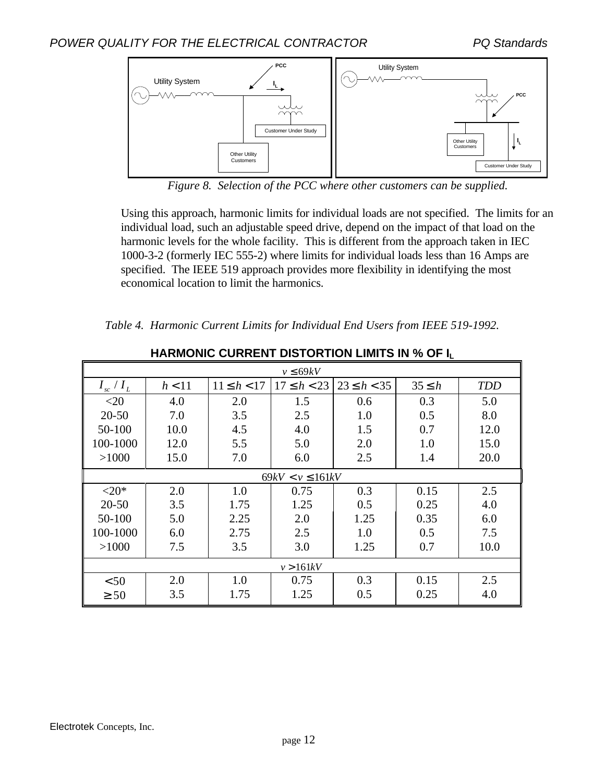

*Figure 8. Selection of the PCC where other customers can be supplied.*

Using this approach, harmonic limits for individual loads are not specified. The limits for an individual load, such an adjustable speed drive, depend on the impact of that load on the harmonic levels for the whole facility. This is different from the approach taken in IEC 1000-3-2 (formerly IEC 555-2) where limits for individual loads less than 16 Amps are specified. The IEEE 519 approach provides more flexibility in identifying the most economical location to limit the harmonics.

*Table 4. Harmonic Current Limits for Individual End Users from IEEE 519-1992.*

| $v \leq 69kV$    |                      |                 |                 |                 |             |            |  |
|------------------|----------------------|-----------------|-----------------|-----------------|-------------|------------|--|
| $I_{sc}$ / $I_L$ | h < 11               | $11 \le h < 17$ | $17 \le h < 23$ | $23 \le h < 35$ | $35 \leq h$ | <b>TDD</b> |  |
| $<$ 20           | 4.0                  | 2.0             | 1.5             | 0.6             | 0.3         | 5.0        |  |
| $20 - 50$        | 7.0                  | 3.5             | 2.5             | 1.0             | 0.5         | 8.0        |  |
| 50-100           | 10.0                 | 4.5             | 4.0             | 1.5             | 0.7         | 12.0       |  |
| 100-1000         | 12.0                 | 5.5             | 5.0             | 2.0             | 1.0         | 15.0       |  |
| >1000            | 15.0                 | 7.0             | 6.0             | 2.5             | 1.4         | 20.0       |  |
|                  | $69kV < v \le 161kV$ |                 |                 |                 |             |            |  |
| ${<}20*$         | 2.0                  | 1.0             | 0.75            | 0.3             | 0.15        | 2.5        |  |
| $20 - 50$        | 3.5                  | 1.75            | 1.25            | 0.5             | 0.25        | 4.0        |  |
| 50-100           | 5.0                  | 2.25            | 2.0             | 1.25            | 0.35        | 6.0        |  |
| 100-1000         | 6.0                  | 2.75            | 2.5             | 1.0             | 0.5         | 7.5        |  |
| >1000            | 7.5                  | 3.5             | 3.0             | 1.25            | 0.7         | 10.0       |  |
| v > 161kV        |                      |                 |                 |                 |             |            |  |
| < 50             | 2.0                  | 1.0             | 0.75            | 0.3             | 0.15        | 2.5        |  |
| $\geq 50$        | 3.5                  | 1.75            | 1.25            | 0.5             | 0.25        | 4.0        |  |

**HARMONIC CURRENT DISTORTION LIMITS IN % OF I<sup>L</sup>**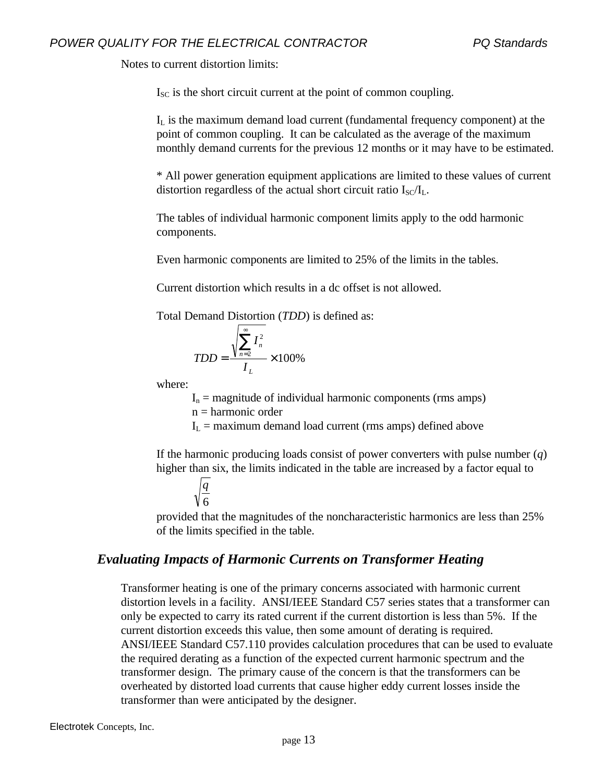Notes to current distortion limits:

 $I_{SC}$  is the short circuit current at the point of common coupling.

 $I<sub>I</sub>$  is the maximum demand load current (fundamental frequency component) at the point of common coupling. It can be calculated as the average of the maximum monthly demand currents for the previous 12 months or it may have to be estimated.

\* All power generation equipment applications are limited to these values of current distortion regardless of the actual short circuit ratio  $I_{\rm{SC}}/I_{\rm{L}}$ .

The tables of individual harmonic component limits apply to the odd harmonic components.

Even harmonic components are limited to 25% of the limits in the tables.

Current distortion which results in a dc offset is not allowed.

Total Demand Distortion (*TDD*) is defined as:

$$
TDD = \frac{\sqrt{\sum_{n=2}^{\infty} I_n^2}}{I_L} \times 100\%
$$

where:

 $I_n$  = magnitude of individual harmonic components (rms amps)

 $n = harmonic order$ 

 $I<sub>L</sub>$  = maximum demand load current (rms amps) defined above

If the harmonic producing loads consist of power converters with pulse number (*q*) higher than six, the limits indicated in the table are increased by a factor equal to

$$
\sqrt{\frac{q}{6}}
$$

provided that the magnitudes of the noncharacteristic harmonics are less than 25% of the limits specified in the table.

### *Evaluating Impacts of Harmonic Currents on Transformer Heating*

Transformer heating is one of the primary concerns associated with harmonic current distortion levels in a facility. ANSI/IEEE Standard C57 series states that a transformer can only be expected to carry its rated current if the current distortion is less than 5%. If the current distortion exceeds this value, then some amount of derating is required. ANSI/IEEE Standard C57.110 provides calculation procedures that can be used to evaluate the required derating as a function of the expected current harmonic spectrum and the transformer design. The primary cause of the concern is that the transformers can be overheated by distorted load currents that cause higher eddy current losses inside the transformer than were anticipated by the designer.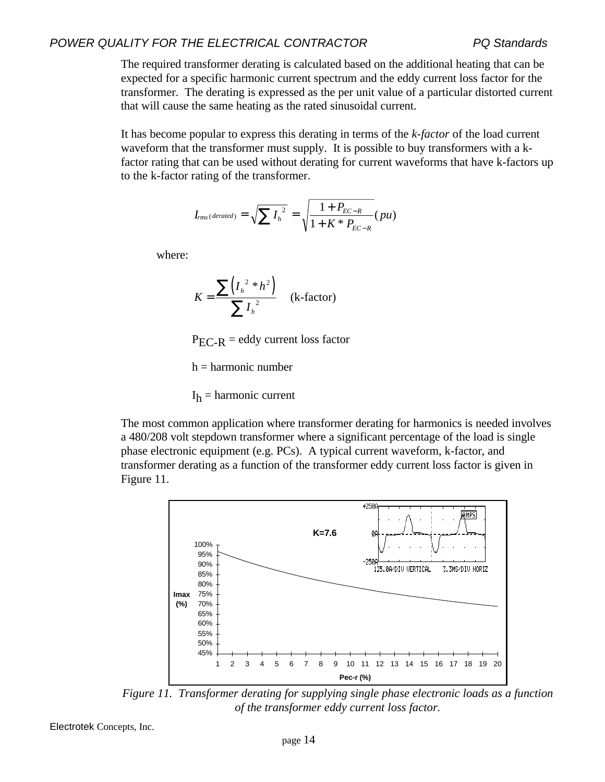The required transformer derating is calculated based on the additional heating that can be expected for a specific harmonic current spectrum and the eddy current loss factor for the transformer. The derating is expressed as the per unit value of a particular distorted current that will cause the same heating as the rated sinusoidal current.

It has become popular to express this derating in terms of the *k-factor* of the load current waveform that the transformer must supply. It is possible to buy transformers with a kfactor rating that can be used without derating for current waveforms that have k-factors up to the k-factor rating of the transformer.

$$
I_{rms(derated)} = \sqrt{\sum I_{h}^{2}} = \sqrt{\frac{1+P_{EC-R}}{1+K*P_{EC-R}}}(pu)
$$

where:

$$
K = \frac{\sum (I_h^2 * h^2)}{\sum I_h^2}
$$
 (k-factor)

 $P_{\text{EC-R}}$  = eddy current loss factor

 $h =$  harmonic number

 $I_h$  = harmonic current

The most common application where transformer derating for harmonics is needed involves a 480/208 volt stepdown transformer where a significant percentage of the load is single phase electronic equipment (e.g. PCs). A typical current waveform, k-factor, and transformer derating as a function of the transformer eddy current loss factor is given in Figure 11.



*Figure 11. Transformer derating for supplying single phase electronic loads as a function of the transformer eddy current loss factor.*

Electrotek Concepts, Inc.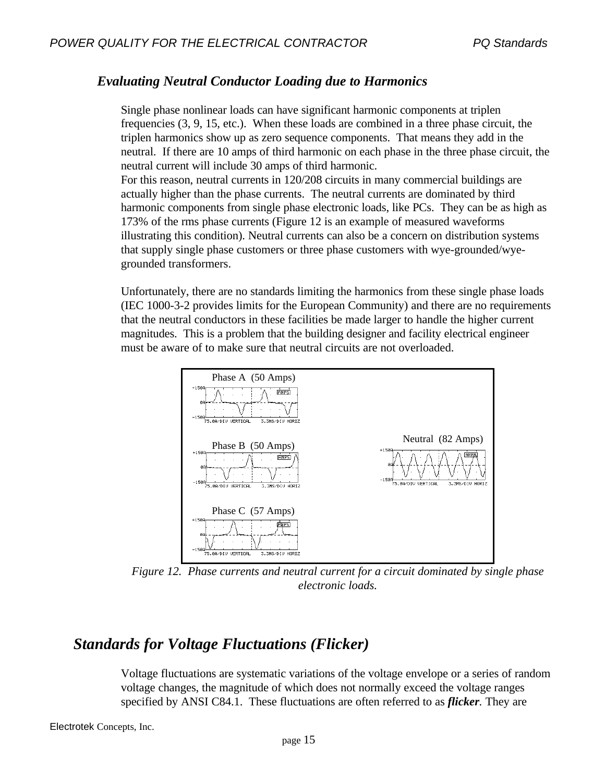### *Evaluating Neutral Conductor Loading due to Harmonics*

Single phase nonlinear loads can have significant harmonic components at triplen frequencies (3, 9, 15, etc.). When these loads are combined in a three phase circuit, the triplen harmonics show up as zero sequence components. That means they add in the neutral. If there are 10 amps of third harmonic on each phase in the three phase circuit, the neutral current will include 30 amps of third harmonic. For this reason, neutral currents in 120/208 circuits in many commercial buildings are actually higher than the phase currents. The neutral currents are dominated by third harmonic components from single phase electronic loads, like PCs. They can be as high as 173% of the rms phase currents (Figure 12 is an example of measured waveforms illustrating this condition). Neutral currents can also be a concern on distribution systems that supply single phase customers or three phase customers with wye-grounded/wyegrounded transformers.

Unfortunately, there are no standards limiting the harmonics from these single phase loads (IEC 1000-3-2 provides limits for the European Community) and there are no requirements that the neutral conductors in these facilities be made larger to handle the higher current magnitudes. This is a problem that the building designer and facility electrical engineer must be aware of to make sure that neutral circuits are not overloaded.



*Figure 12. Phase currents and neutral current for a circuit dominated by single phase electronic loads.*

# *Standards for Voltage Fluctuations (Flicker)*

Voltage fluctuations are systematic variations of the voltage envelope or a series of random voltage changes, the magnitude of which does not normally exceed the voltage ranges specified by ANSI C84.1. These fluctuations are often referred to as *flicker.* They are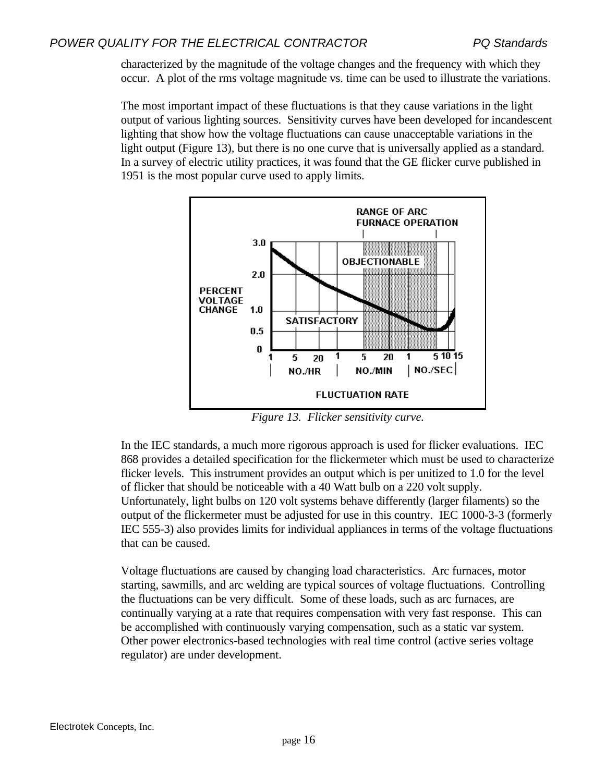characterized by the magnitude of the voltage changes and the frequency with which they occur. A plot of the rms voltage magnitude vs. time can be used to illustrate the variations.

The most important impact of these fluctuations is that they cause variations in the light output of various lighting sources. Sensitivity curves have been developed for incandescent lighting that show how the voltage fluctuations can cause unacceptable variations in the light output (Figure 13), but there is no one curve that is universally applied as a standard. In a survey of electric utility practices, it was found that the GE flicker curve published in 1951 is the most popular curve used to apply limits.



*Figure 13. Flicker sensitivity curve.*

In the IEC standards, a much more rigorous approach is used for flicker evaluations. IEC 868 provides a detailed specification for the flickermeter which must be used to characterize flicker levels. This instrument provides an output which is per unitized to 1.0 for the level of flicker that should be noticeable with a 40 Watt bulb on a 220 volt supply. Unfortunately, light bulbs on 120 volt systems behave differently (larger filaments) so the output of the flickermeter must be adjusted for use in this country. IEC 1000-3-3 (formerly IEC 555-3) also provides limits for individual appliances in terms of the voltage fluctuations that can be caused.

Voltage fluctuations are caused by changing load characteristics. Arc furnaces, motor starting, sawmills, and arc welding are typical sources of voltage fluctuations. Controlling the fluctuations can be very difficult. Some of these loads, such as arc furnaces, are continually varying at a rate that requires compensation with very fast response. This can be accomplished with continuously varying compensation, such as a static var system. Other power electronics-based technologies with real time control (active series voltage regulator) are under development.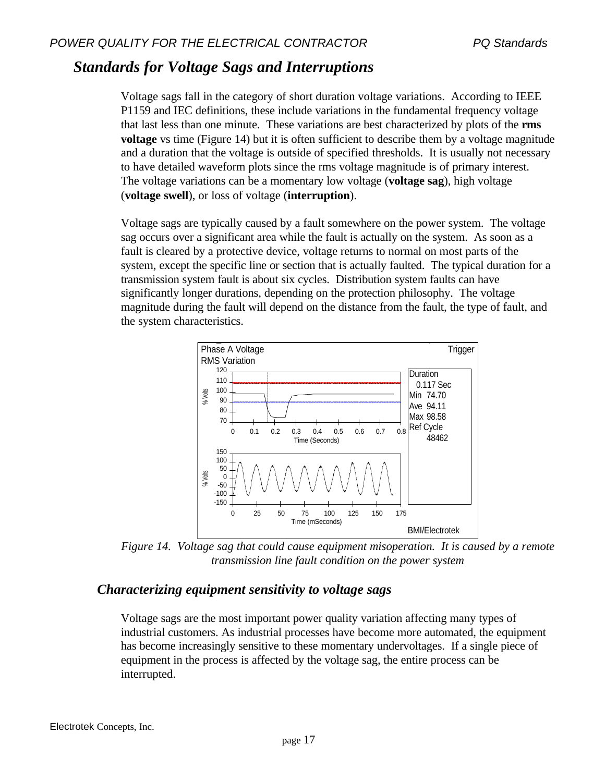# *Standards for Voltage Sags and Interruptions*

Voltage sags fall in the category of short duration voltage variations. According to IEEE P1159 and IEC definitions, these include variations in the fundamental frequency voltage that last less than one minute. These variations are best characterized by plots of the **rms voltage** vs time (Figure 14) but it is often sufficient to describe them by a voltage magnitude and a duration that the voltage is outside of specified thresholds. It is usually not necessary to have detailed waveform plots since the rms voltage magnitude is of primary interest. The voltage variations can be a momentary low voltage (**voltage sag**), high voltage (**voltage swell**), or loss of voltage (**interruption**).

Voltage sags are typically caused by a fault somewhere on the power system. The voltage sag occurs over a significant area while the fault is actually on the system. As soon as a fault is cleared by a protective device, voltage returns to normal on most parts of the system, except the specific line or section that is actually faulted. The typical duration for a transmission system fault is about six cycles. Distribution system faults can have significantly longer durations, depending on the protection philosophy. The voltage magnitude during the fault will depend on the distance from the fault, the type of fault, and the system characteristics.



*Figure 14. Voltage sag that could cause equipment misoperation. It is caused by a remote transmission line fault condition on the power system*

### *Characterizing equipment sensitivity to voltage sags*

Voltage sags are the most important power quality variation affecting many types of industrial customers. As industrial processes have become more automated, the equipment has become increasingly sensitive to these momentary undervoltages. If a single piece of equipment in the process is affected by the voltage sag, the entire process can be interrupted.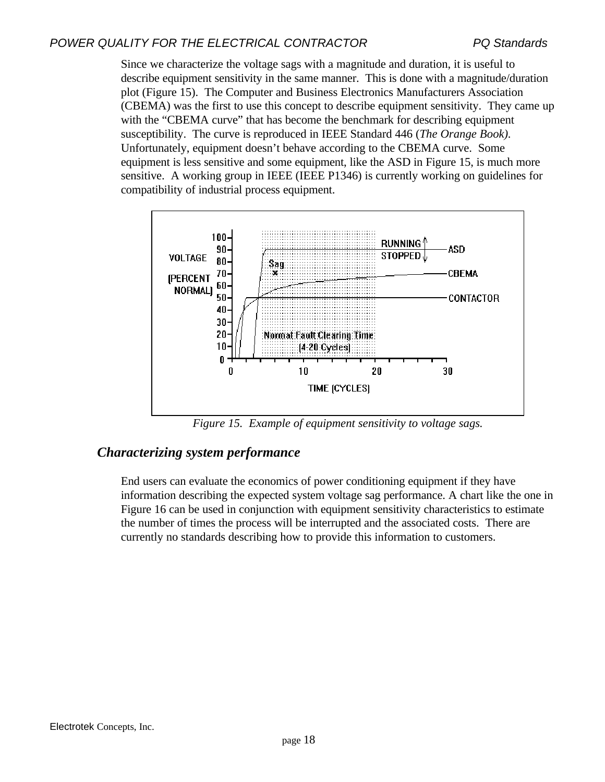Since we characterize the voltage sags with a magnitude and duration, it is useful to describe equipment sensitivity in the same manner. This is done with a magnitude/duration plot (Figure 15). The Computer and Business Electronics Manufacturers Association (CBEMA) was the first to use this concept to describe equipment sensitivity. They came up with the "CBEMA curve" that has become the benchmark for describing equipment susceptibility. The curve is reproduced in IEEE Standard 446 (*The Orange Book).* Unfortunately, equipment doesn't behave according to the CBEMA curve. Some equipment is less sensitive and some equipment, like the ASD in Figure 15, is much more sensitive. A working group in IEEE (IEEE P1346) is currently working on guidelines for compatibility of industrial process equipment.



*Figure 15. Example of equipment sensitivity to voltage sags.*

### *Characterizing system performance*

End users can evaluate the economics of power conditioning equipment if they have information describing the expected system voltage sag performance. A chart like the one in Figure 16 can be used in conjunction with equipment sensitivity characteristics to estimate the number of times the process will be interrupted and the associated costs. There are currently no standards describing how to provide this information to customers.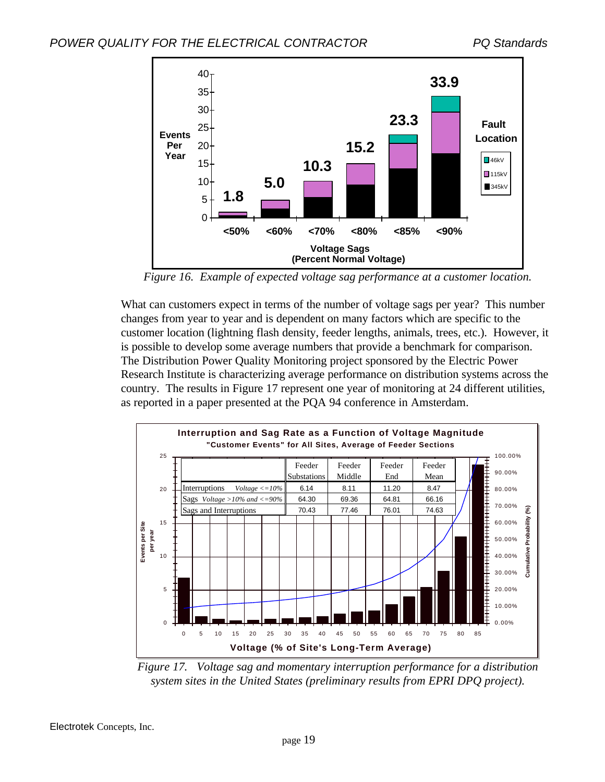

*Figure 16. Example of expected voltage sag performance at a customer location.*

What can customers expect in terms of the number of voltage sags per year? This number changes from year to year and is dependent on many factors which are specific to the customer location (lightning flash density, feeder lengths, animals, trees, etc.). However, it is possible to develop some average numbers that provide a benchmark for comparison. The Distribution Power Quality Monitoring project sponsored by the Electric Power Research Institute is characterizing average performance on distribution systems across the country. The results in Figure 17 represent one year of monitoring at 24 different utilities, as reported in a paper presented at the PQA 94 conference in Amsterdam.



*Figure 17. Voltage sag and momentary interruption performance for a distribution system sites in the United States (preliminary results from EPRI DPQ project).*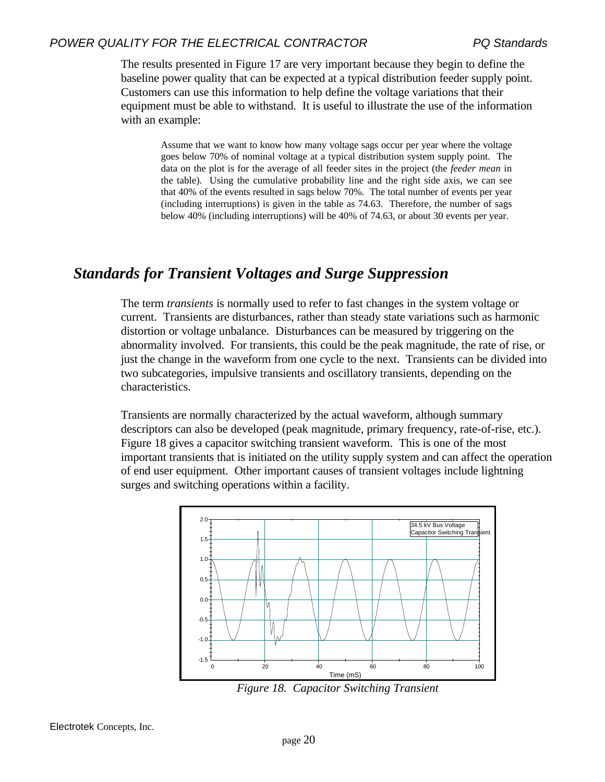The results presented in Figure 17 are very important because they begin to define the baseline power quality that can be expected at a typical distribution feeder supply point. Customers can use this information to help define the voltage variations that their equipment must be able to withstand. It is useful to illustrate the use of the information with an example:

Assume that we want to know how many voltage sags occur per year where the voltage goes below 70% of nominal voltage at a typical distribution system supply point. The data on the plot is for the average of all feeder sites in the project (the *feeder mean* in the table). Using the cumulative probability line and the right side axis, we can see that 40% of the events resulted in sags below 70%. The total number of events per year (including interruptions) is given in the table as 74.63. Therefore, the number of sags below 40% (including interruptions) will be 40% of 74.63, or about 30 events per year.

# *Standards for Transient Voltages and Surge Suppression*

The term *transients* is normally used to refer to fast changes in the system voltage or current. Transients are disturbances, rather than steady state variations such as harmonic distortion or voltage unbalance. Disturbances can be measured by triggering on the abnormality involved. For transients, this could be the peak magnitude, the rate of rise, or just the change in the waveform from one cycle to the next. Transients can be divided into two subcategories, impulsive transients and oscillatory transients, depending on the characteristics.

Transients are normally characterized by the actual waveform, although summary descriptors can also be developed (peak magnitude, primary frequency, rate-of-rise, etc.). Figure 18 gives a capacitor switching transient waveform. This is one of the most important transients that is initiated on the utility supply system and can affect the operation of end user equipment. Other important causes of transient voltages include lightning surges and switching operations within a facility.



*Figure 18. Capacitor Switching Transient*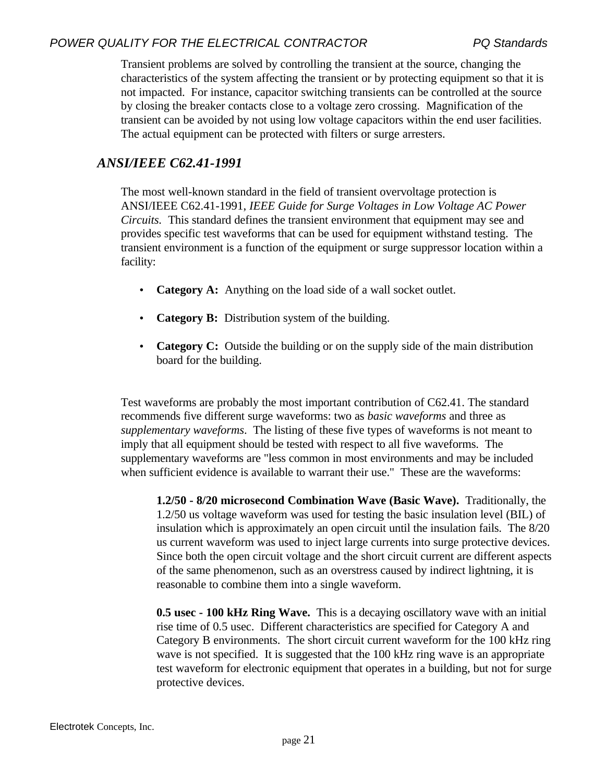Transient problems are solved by controlling the transient at the source, changing the characteristics of the system affecting the transient or by protecting equipment so that it is not impacted. For instance, capacitor switching transients can be controlled at the source by closing the breaker contacts close to a voltage zero crossing. Magnification of the transient can be avoided by not using low voltage capacitors within the end user facilities. The actual equipment can be protected with filters or surge arresters.

### *ANSI/IEEE C62.41-1991*

The most well-known standard in the field of transient overvoltage protection is ANSI/IEEE C62.41-1991, *IEEE Guide for Surge Voltages in Low Voltage AC Power Circuits.* This standard defines the transient environment that equipment may see and provides specific test waveforms that can be used for equipment withstand testing. The transient environment is a function of the equipment or surge suppressor location within a facility:

- **Category A:** Anything on the load side of a wall socket outlet.
- **Category B:** Distribution system of the building.
- **Category C:** Outside the building or on the supply side of the main distribution board for the building.

Test waveforms are probably the most important contribution of C62.41. The standard recommends five different surge waveforms: two as *basic waveforms* and three as *supplementary waveforms*. The listing of these five types of waveforms is not meant to imply that all equipment should be tested with respect to all five waveforms. The supplementary waveforms are "less common in most environments and may be included when sufficient evidence is available to warrant their use." These are the waveforms:

**1.2/50 - 8/20 microsecond Combination Wave (Basic Wave).** Traditionally, the 1.2/50 us voltage waveform was used for testing the basic insulation level (BIL) of insulation which is approximately an open circuit until the insulation fails. The 8/20 us current waveform was used to inject large currents into surge protective devices. Since both the open circuit voltage and the short circuit current are different aspects of the same phenomenon, such as an overstress caused by indirect lightning, it is reasonable to combine them into a single waveform.

**0.5 usec - 100 kHz Ring Wave.** This is a decaying oscillatory wave with an initial rise time of 0.5 usec. Different characteristics are specified for Category A and Category B environments. The short circuit current waveform for the 100 kHz ring wave is not specified. It is suggested that the 100 kHz ring wave is an appropriate test waveform for electronic equipment that operates in a building, but not for surge protective devices.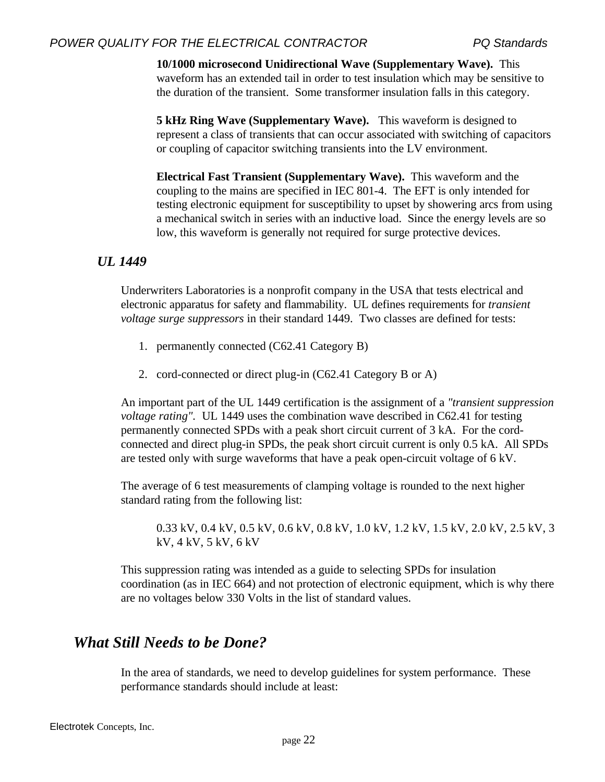**10/1000 microsecond Unidirectional Wave (Supplementary Wave).** This waveform has an extended tail in order to test insulation which may be sensitive to the duration of the transient. Some transformer insulation falls in this category.

**5 kHz Ring Wave (Supplementary Wave).** This waveform is designed to represent a class of transients that can occur associated with switching of capacitors or coupling of capacitor switching transients into the LV environment.

**Electrical Fast Transient (Supplementary Wave).** This waveform and the coupling to the mains are specified in IEC 801-4. The EFT is only intended for testing electronic equipment for susceptibility to upset by showering arcs from using a mechanical switch in series with an inductive load. Since the energy levels are so low, this waveform is generally not required for surge protective devices.

### *UL 1449*

Underwriters Laboratories is a nonprofit company in the USA that tests electrical and electronic apparatus for safety and flammability. UL defines requirements for *transient voltage surge suppressors* in their standard 1449. Two classes are defined for tests:

- 1. permanently connected (C62.41 Category B)
- 2. cord-connected or direct plug-in (C62.41 Category B or A)

An important part of the UL 1449 certification is the assignment of a *"transient suppression voltage rating".* UL 1449 uses the combination wave described in C62.41 for testing permanently connected SPDs with a peak short circuit current of 3 kA. For the cordconnected and direct plug-in SPDs, the peak short circuit current is only 0.5 kA. All SPDs are tested only with surge waveforms that have a peak open-circuit voltage of 6 kV.

The average of 6 test measurements of clamping voltage is rounded to the next higher standard rating from the following list:

0.33 kV, 0.4 kV, 0.5 kV, 0.6 kV, 0.8 kV, 1.0 kV, 1.2 kV, 1.5 kV, 2.0 kV, 2.5 kV, 3 kV, 4 kV, 5 kV, 6 kV

This suppression rating was intended as a guide to selecting SPDs for insulation coordination (as in IEC 664) and not protection of electronic equipment, which is why there are no voltages below 330 Volts in the list of standard values.

# *What Still Needs to be Done?*

In the area of standards, we need to develop guidelines for system performance. These performance standards should include at least: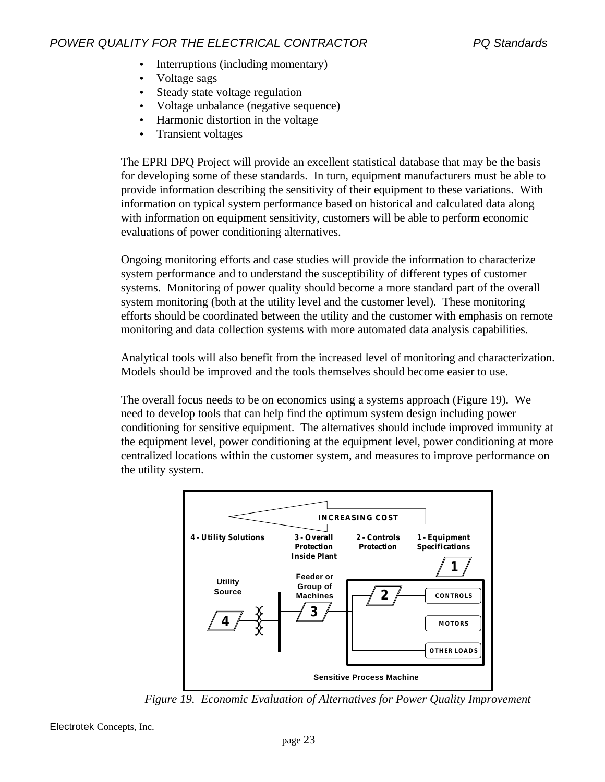- Interruptions (including momentary)
- Voltage sags
- Steady state voltage regulation
- Voltage unbalance (negative sequence)
- Harmonic distortion in the voltage
- Transient voltages

The EPRI DPQ Project will provide an excellent statistical database that may be the basis for developing some of these standards. In turn, equipment manufacturers must be able to provide information describing the sensitivity of their equipment to these variations. With information on typical system performance based on historical and calculated data along with information on equipment sensitivity, customers will be able to perform economic evaluations of power conditioning alternatives.

Ongoing monitoring efforts and case studies will provide the information to characterize system performance and to understand the susceptibility of different types of customer systems. Monitoring of power quality should become a more standard part of the overall system monitoring (both at the utility level and the customer level). These monitoring efforts should be coordinated between the utility and the customer with emphasis on remote monitoring and data collection systems with more automated data analysis capabilities.

Analytical tools will also benefit from the increased level of monitoring and characterization. Models should be improved and the tools themselves should become easier to use.

The overall focus needs to be on economics using a systems approach (Figure 19). We need to develop tools that can help find the optimum system design including power conditioning for sensitive equipment. The alternatives should include improved immunity at the equipment level, power conditioning at the equipment level, power conditioning at more centralized locations within the customer system, and measures to improve performance on the utility system.



*Figure 19. Economic Evaluation of Alternatives for Power Quality Improvement*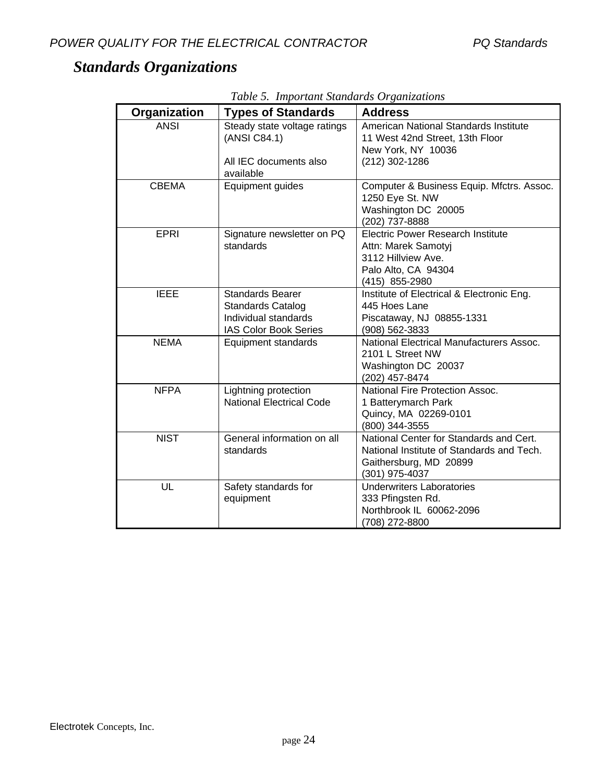# *Standards Organizations*

| Organization | <b>Types of Standards</b>                                                                                   | <b>Address</b>                                                                                                                   |
|--------------|-------------------------------------------------------------------------------------------------------------|----------------------------------------------------------------------------------------------------------------------------------|
| <b>ANSI</b>  | Steady state voltage ratings<br>(ANSI C84.1)<br>All IEC documents also<br>available                         | American National Standards Institute<br>11 West 42nd Street, 13th Floor<br>New York, NY 10036<br>$(212)$ 302-1286               |
| <b>CBEMA</b> | Equipment guides                                                                                            | Computer & Business Equip. Mfctrs. Assoc.<br>1250 Eye St. NW<br>Washington DC 20005<br>(202) 737-8888                            |
| <b>EPRI</b>  | Signature newsletter on PQ<br>standards                                                                     | <b>Electric Power Research Institute</b><br>Attn: Marek Samotyj<br>3112 Hillview Ave.<br>Palo Alto, CA 94304<br>(415) 855-2980   |
| <b>IEEE</b>  | <b>Standards Bearer</b><br><b>Standards Catalog</b><br>Individual standards<br><b>IAS Color Book Series</b> | Institute of Electrical & Electronic Eng.<br>445 Hoes Lane<br>Piscataway, NJ 08855-1331<br>(908) 562-3833                        |
| <b>NEMA</b>  | Equipment standards                                                                                         | National Electrical Manufacturers Assoc.<br>2101 L Street NW<br>Washington DC 20037<br>(202) 457-8474                            |
| <b>NFPA</b>  | Lightning protection<br><b>National Electrical Code</b>                                                     | National Fire Protection Assoc.<br>1 Batterymarch Park<br>Quincy, MA 02269-0101<br>(800) 344-3555                                |
| <b>NIST</b>  | General information on all<br>standards                                                                     | National Center for Standards and Cert.<br>National Institute of Standards and Tech.<br>Gaithersburg, MD 20899<br>(301) 975-4037 |
| UL           | Safety standards for<br>equipment                                                                           | <b>Underwriters Laboratories</b><br>333 Pfingsten Rd.<br>Northbrook IL 60062-2096<br>(708) 272-8800                              |

*Table 5. Important Standards Organizations*